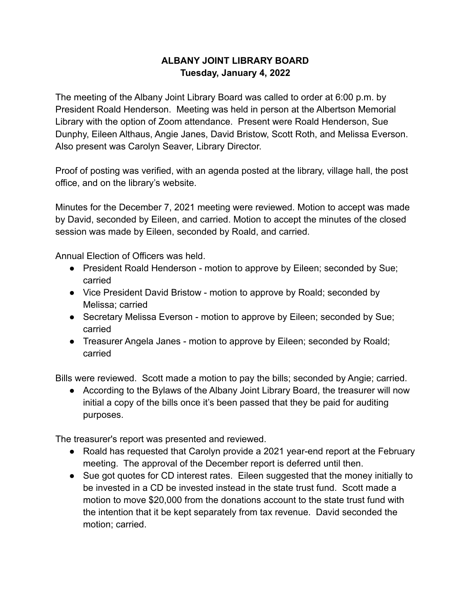## **ALBANY JOINT LIBRARY BOARD Tuesday, January 4, 2022**

The meeting of the Albany Joint Library Board was called to order at 6:00 p.m. by President Roald Henderson. Meeting was held in person at the Albertson Memorial Library with the option of Zoom attendance. Present were Roald Henderson, Sue Dunphy, Eileen Althaus, Angie Janes, David Bristow, Scott Roth, and Melissa Everson. Also present was Carolyn Seaver, Library Director.

Proof of posting was verified, with an agenda posted at the library, village hall, the post office, and on the library's website.

Minutes for the December 7, 2021 meeting were reviewed. Motion to accept was made by David, seconded by Eileen, and carried. Motion to accept the minutes of the closed session was made by Eileen, seconded by Roald, and carried.

Annual Election of Officers was held.

- President Roald Henderson motion to approve by Eileen; seconded by Sue; carried
- Vice President David Bristow motion to approve by Roald; seconded by Melissa; carried
- Secretary Melissa Everson motion to approve by Eileen; seconded by Sue; carried
- Treasurer Angela Janes motion to approve by Eileen; seconded by Roald; carried

Bills were reviewed. Scott made a motion to pay the bills; seconded by Angie; carried.

● According to the Bylaws of the Albany Joint Library Board, the treasurer will now initial a copy of the bills once it's been passed that they be paid for auditing purposes.

The treasurer's report was presented and reviewed.

- Roald has requested that Carolyn provide a 2021 year-end report at the February meeting. The approval of the December report is deferred until then.
- Sue got quotes for CD interest rates. Eileen suggested that the money initially to be invested in a CD be invested instead in the state trust fund. Scott made a motion to move \$20,000 from the donations account to the state trust fund with the intention that it be kept separately from tax revenue. David seconded the motion; carried.